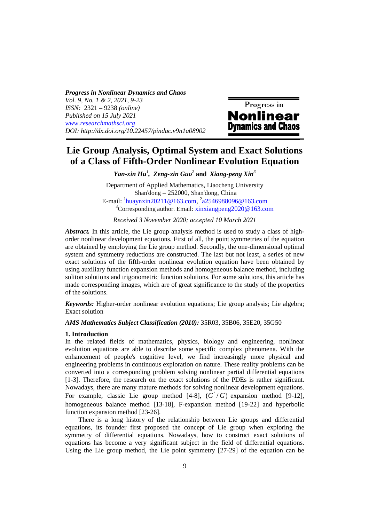*Progress in Nonlinear Dynamics and Chaos Vol. 9, No. 1 & 2, 2021, 9-23 ISSN:* 2321 – 9238 *(online) Published on 15 July 2021 www.researchmathsci.org DOI: http://dx.doi.org/10.22457/pindac.v9n1a08902*



# **Lie Group Analysis, Optimal System and Exact Solutions of a Class of Fifth-Order Nonlinear Evolution Equation**

*Yan-xin Hu<sup>1</sup> , Zeng-xin Guo<sup>2</sup>* **and** *Xiang-peng Xin<sup>3</sup>*

Department of Applied Mathematics, Liaocheng University Shan'dong – 252000, Shan'dong, China E-mail: <sup>1</sup> huaynxin20211@163.com, <sup>2</sup> a2546988096@163.com  $3^3$ Corresponding author. Email: xinxiangpeng2020@163.com

*Received 3 November 2020; accepted 10 March 2021* 

*Abstract.* In this article, the Lie group analysis method is used to study a class of highorder nonlinear development equations. First of all, the point symmetries of the equation are obtained by employing the Lie group method. Secondly, the one-dimensional optimal system and symmetry reductions are constructed. The last but not least, a series of new exact solutions of the fifth-order nonlinear evolution equation have been obtained by using auxiliary function expansion methods and homogeneous balance method, including soliton solutions and trigonometric function solutions. For some solutions, this article has made corresponding images, which are of great significance to the study of the properties of the solutions.

*Keywords:* Higher-order nonlinear evolution equations; Lie group analysis; Lie algebra; Exact solution

*AMS Mathematics Subject Classification (2010):* 35R03, 35B06, 35E20, 35G50

#### **1. Introduction**

In the related fields of mathematics, physics, biology and engineering, nonlinear evolution equations are able to describe some specific complex phenomena. With the enhancement of people's cognitive level, we find increasingly more physical and engineering problems in continuous exploration on nature. These reality problems can be converted into a corresponding problem solving nonlinear partial differential equations [1-3]. Therefore, the research on the exact solutions of the PDEs is rather significant. Nowadays, there are many mature methods for solving nonlinear development equations. For example, classic Lie group method [4-8],  $(G'/G)$  expansion method [9-12], homogeneous balance method [13-18], F-expansion method [19-22] and hyperbolic function expansion method [23-26].

There is a long history of the relationship between Lie groups and differential equations, its founder first proposed the concept of Lie group when exploring the symmetry of differential equations. Nowadays, how to construct exact solutions of equations has become a very significant subject in the field of differential equations. Using the Lie group method, the Lie point symmetry [27-29] of the equation can be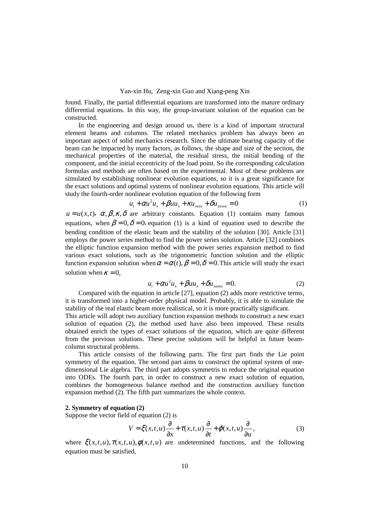found. Finally, the partial differential equations are transformed into the mature ordinary differential equations. In this way, the group-invariant solution of the equation can be constructed.

In the engineering and design around us, there is a kind of important structural element beams and columns. The related mechanics problem has always been an important aspect of solid mechanics research. Since the ultimate bearing capacity of the beam can be impacted by many factors, as follows, the shape and size of the section, the mechanical properties of the material, the residual stress, the initial bending of the component, and the initial eccentricity of the load point. So the corresponding calculation formulas and methods are often based on the experimental. Most of these problems are simulated by establishing nonlinear evolution equations, so it is a great significance for the exact solutions and optimal systems of nonlinear evolution equations. This article will study the fourth-order nonlinear evolution equation of the following form

$$
u_t + \alpha u^2 u_x + \beta u u_x + \kappa u_{xxx} + \delta u_{xxxx} = 0
$$
 (1)

 $u = u(x,t)$ ,  $\alpha, \beta, \kappa, \delta$  are arbitrary constants. Equation (1) contains many famous equations, when  $\beta = 0$ ,  $\delta = 0$ , equation (1) is a kind of equation used to describe the bending condition of the elastic beam and the stability of the solution [30]. Article [31] employs the power series method to find the power series solution. Article [32] combines the elliptic function expansion method with the power series expansion method to find various exact solutions, such as the trigonometric function solution and the elliptic function expansion solution when  $\alpha = \alpha(t)$ ,  $\beta = 0$ ,  $\delta = 0$ . This article will study the exact solution when  $\kappa = 0$ ,

$$
u_t + \alpha u^2 u_x + \beta u_x + \delta u_{xxxx} = 0.
$$
 (2)

Compared with the equation in article [27], equation (2) adds more restrictive terms, it is transformed into a higher-order physical model. Probably, it is able to simulate the stability of the real elastic beam more realistical, so it is more practically significant.

This article will adopt two auxiliary function expansion methods to construct a new exact solution of equation (2), the method used have also been improved. These results obtained enrich the types of exact solutions of the equation, which are quite different from the previous solutions. These precise solutions will be helpful in future beamcolumn structural problems.

This article consists of the following parts. The first part finds the Lie point symmetry of the equation. The second part aims to construct the optimal system of onedimensional Lie algebra. The third part adopts symmetris to reduce the original equation into ODEs. The fourth part, in order to construct a new exact solution of equation, combines the homogeneous balance method and the construction auxiliary function expansion method (2). The fifth part summarizes the whole context.

### **2. Symmetry of equation (2)**

Suppose the vector field of equation (2) is

$$
V = \xi(x, t, u)\frac{\partial}{\partial x} + \tau(x, t, u)\frac{\partial}{\partial t} + \varphi(x, t, u)\frac{\partial}{\partial u},
$$
\n(3)

where  $\xi(x, t, u)$ ,  $\tau(x, t, u)$ ,  $\phi(x, t, u)$  are undetermined functions, and the following equation must be satisfied,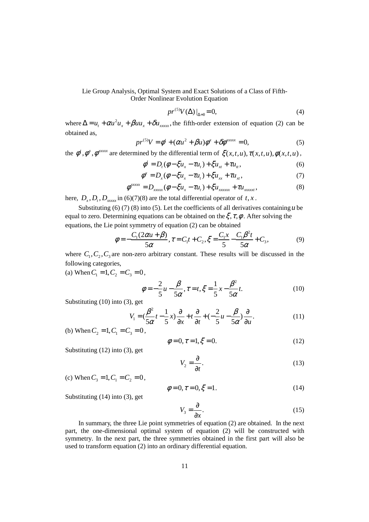$$
pr^{(5)}V(\Delta)|_{\Delta=0} = 0,\tag{4}
$$

where  $\Delta = u_t + \alpha u^2 u_x + \beta u_x + \delta u_{xxxx}$ , the fifth-order extension of equation (2) can be obtained as,

$$
pr^{(5)}V = \phi^t + (\alpha u^2 + \beta u)\phi^x + \delta\phi^{xxxxx} = 0,
$$
\n(5)

the  $\phi^t$ ,  $\phi^x$ ,  $\phi^{xxxxx}$  are determined by the differential term of  $\xi(x, t, u)$ ,  $\tau(x, t, u)$ ,  $\phi(x, t, u)$ ,

$$
\phi^t = D_t(\phi - \xi u_x - \tau u_t) + \xi u_{xt} + \tau u_{tt},
$$
\n(6)

$$
\phi^x = D_x(\phi - \xi u_x - \tau u_t) + \xi u_{xx} + \tau u_{xt},\tag{7}
$$

$$
\phi^{\text{xxxx}} = D_{\text{xxxx}}(\phi - \xi u_x - \tau u_t) + \xi u_{\text{xxxx}} + \tau u_{\text{xxxx}},
$$
\n(8)

here,  $D_x, D_t, D_{xxxx}$  in (6)(7)(8) are the total differential operator of *t*, *x*.

Substituting (6) (7) (8) into (5). Let the coefficients of all derivatives containing  $u$  be equal to zero. Determining equations can be obtained on the  $\xi, \tau, \phi$ . After solving the equations, the Lie point symmetry of equation (2) can be obtained

$$
\phi = -\frac{C_1(2\alpha u + \beta)}{5\alpha}, \tau = C_1 t + C_2, \xi = \frac{C_1 x}{5} - \frac{C_1 \beta^2 t}{5\alpha} + C_3,
$$
\n(9)

where  $C_1, C_2, C_3$  are non-zero arbitrary constant. These results will be discussed in the following categories,

(a) When  $C_1 = 1, C_2 = C_3 = 0$ ,

$$
\phi = -\frac{2}{5}u - \frac{\beta}{5\alpha}, \tau = t, \xi = \frac{1}{5}x - \frac{\beta^2}{5\alpha}t.
$$
 (10)

Substituting (10) into (3), get

$$
V_1 = \left(\frac{\beta^2}{5\alpha}t - \frac{1}{5}x\right)\frac{\partial}{\partial x} + t\frac{\partial}{\partial t} + \left(-\frac{2}{5}u - \frac{\beta}{5\alpha}\right)\frac{\partial}{\partial u}.
$$
 (11)

(b) When  $C_2 = 1, C_1 = C_3 = 0$ ,

$$
\phi = 0, \tau = 1, \xi = 0. \tag{12}
$$

Substituting (12) into (3), get

 $V_2 = \frac{6}{\partial t}$ .  $=\frac{5}{2}$ ∂ (13)

(c) When 
$$
C_3 = 1
$$
,  $C_1 = C_2 = 0$ ,

$$
\phi = 0, \tau = 0, \xi = 1. \tag{14}
$$

Substituting (14) into (3), get

$$
V_3 = \frac{\partial}{\partial x}.\tag{15}
$$

In summary, the three Lie point symmetries of equation (2) are obtained. In the next part, the one-dimensional optimal system of equation (2) will be constructed with symmetry. In the next part, the three symmetries obtained in the first part will also be used to transform equation (2) into an ordinary differential equation.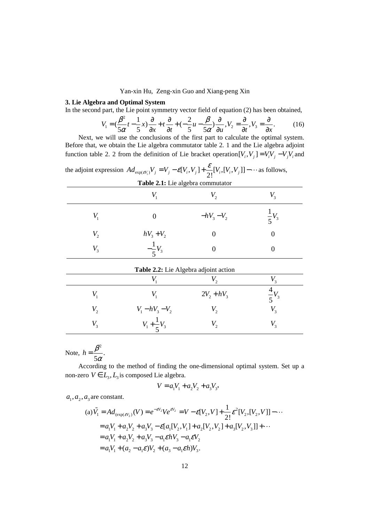### **3. Lie Algebra and Optimal System**

In the second part, the Lie point symmetry vector field of equation (2) has been obtained,

$$
V_1 = \left(\frac{\beta^2}{5\alpha}t - \frac{1}{5}x\right)\frac{\partial}{\partial x} + t\frac{\partial}{\partial t} + \left(-\frac{2}{5}u - \frac{\beta}{5\alpha}\right)\frac{\partial}{\partial u}, V_2 = \frac{\partial}{\partial t}, V_3 = \frac{\partial}{\partial x}.
$$
 (16)

Next, we will use the conclusions of the first part to calculate the optimal system. Before that, we obtain the Lie algebra commutator table 2. 1 and the Lie algebra adjoint function table 2. 2 from the definition of Lie bracket operation $[V_i, V_j] = V_i V_j - V_j V_i$  and

| the adjoint expression $Ad_{\exp(\varepsilon V_i)}V_j = V_j - \varepsilon[V_i, V_j] + \frac{\varepsilon}{2!} [V_i, [V_i, V_j]] - \cdots$ as follows, |
|------------------------------------------------------------------------------------------------------------------------------------------------------|
|                                                                                                                                                      |

|              |                     |             | v.               |
|--------------|---------------------|-------------|------------------|
|              |                     | $-hV_3-V_2$ | $\frac{1}{5}V_3$ |
| $V_{2}$      | $hV_3 + V_2$        |             |                  |
| $V_{\rm{2}}$ | $-\frac{1}{2}V_{3}$ |             |                  |

| Table 2.2: Lie Algebra adjoint action |                        |               |       |  |  |
|---------------------------------------|------------------------|---------------|-------|--|--|
|                                       |                        |               |       |  |  |
|                                       |                        | $2V_2 + hV_3$ | $V_3$ |  |  |
| $V_{\gamma}$                          | $V_1 - hV_3 - V_2$     |               |       |  |  |
| $V_{\scriptscriptstyle 2}$            | $V_1 + \frac{1}{5}V_3$ |               |       |  |  |

Note, 2 . 5  $h = \frac{\beta}{\epsilon}$  $=\frac{P}{5\alpha}$ 

According to the method of finding the one-dimensional optimal system. Set up a non-zero  $V \in L_3, L_3$  is composed Lie algebra.

$$
V = a_1 V_1 + a_2 V_2 + a_3 V_3,
$$

 $a_1$ ,  $a_2$ ,  $a_3$  are constant.

(a) 
$$
\tilde{V}_1 = Ad_{(\exp(\varepsilon V_2))}(V) = e^{-\varepsilon V_2} V e^{\varepsilon V_2} = V - \varepsilon [V_2, V] + \frac{1}{2!} \varepsilon^2 [V_2, [V_2, V]] - \cdots
$$
  
\n
$$
= a_1 V_1 + a_2 V_2 + a_3 V_3 - \varepsilon [a_1 [V_2, V_1] + a_2 [V_2, V_2] + a_3 [V_2, V_3]] + \cdots
$$
\n
$$
= a_1 V_1 + a_2 V_2 + a_3 V_3 - a_1 \varepsilon h V_3 - a_1 \varepsilon V_2
$$
\n
$$
= a_1 V_1 + (a_2 - a_1 \varepsilon) V_2 + (a_3 - a_1 \varepsilon h) V_3.
$$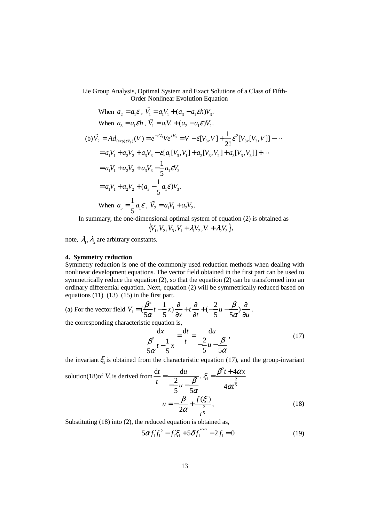When 
$$
a_2 = a_1 \mathcal{E}
$$
,  $\tilde{V}_1 = a_1 V_1 + (a_3 - a_1 \mathcal{E} h) V_3$ .  
\nWhen  $a_3 = a_1 \mathcal{E} h$ ,  $\tilde{V}_1 = a_1 V_1 + (a_2 - a_1 \mathcal{E}) V_2$ .  
\n(b)  $\tilde{V}_2 = Ad_{(\exp(\mathcal{E}V_3))}(V) = e^{-\mathcal{E}V_3} V e^{\mathcal{E}V_3} = V - \mathcal{E}[V_3, V] + \frac{1}{2!} \mathcal{E}^2 [V_3, [V_3, V]] - \cdots$   
\n $= a_1 V_1 + a_2 V_2 + a_3 V_3 - \mathcal{E}[a_1[V_3, V_1] + a_2[V_3, V_2] + a_3[V_3, V_3]] + \cdots$   
\n $= a_1 V_1 + a_2 V_2 + a_3 V_3 - \frac{1}{5} a_1 \mathcal{E} V_3$   
\n $= a_1 V_1 + a_2 V_2 + (a_3 - \frac{1}{5} a_1 \mathcal{E}) V_3$ .  
\nWhen  $a_3 = \frac{1}{5} a_1 \mathcal{E}$ ,  $\tilde{V}_2 = a_1 V_1 + a_2 V_2$ .

In summary, the one-dimensional optimal system of equation (2) is obtained as

$$
\{V_1, V_2, V_3, V_1 + \lambda_1 V_2, V_1 + \lambda_2 V_3\},\
$$

note,  $\lambda_1$ ,  $\lambda_2$  are arbitrary constants.

## **4. Symmetry reduction**

Symmetry reduction is one of the commonly used reduction methods when dealing with nonlinear development equations. The vector field obtained in the first part can be used to symmetrically reduce the equation (2), so that the equation (2) can be transformed into an ordinary differential equation. Next, equation (2) will be symmetrically reduced based on equations  $(11)$   $(13)$   $(15)$  in the first part.

(a) For the vector field 
$$
V_1 = \left(\frac{\beta^2}{5\alpha}t - \frac{1}{5}x\right)\frac{\partial}{\partial x} + t\frac{\partial}{\partial t} + \left(-\frac{2}{5}u - \frac{\beta}{5\alpha}\right)\frac{\partial}{\partial u}
$$
,  
the corresponding characteristic equation is,  

$$
\frac{dx}{dt} = \frac{dt}{dt} = \frac{du}{dt} \tag{17}
$$

$$
\frac{\alpha x}{\beta^2} - \frac{1}{5}x = \frac{du}{t} = \frac{du}{-\frac{2}{5}u - \frac{\beta}{5\alpha}},
$$
\n(17)

the invariant  $\zeta_1$  is obtained from the characteristic equation (17), and the group-invariant

solution(18) of 
$$
V_1
$$
 is derived from  $\frac{dt}{t} = \frac{du}{-\frac{2}{5}u - \frac{\beta}{5\alpha}}$ .  $\xi_1 = \frac{\beta^2 t + 4\alpha x}{4\alpha t^{\frac{2}{5}}}$   

$$
u = -\frac{\beta}{2\alpha} + \frac{f(\xi_1)}{t^{\frac{2}{5}}},
$$
(18)

Substituting (18) into (2), the reduced equation is obtained as,

$$
5\alpha f_1' f_1^2 - f_1' \xi_1' + 5\delta f_1'''' - 2f_1 = 0
$$
\n(19)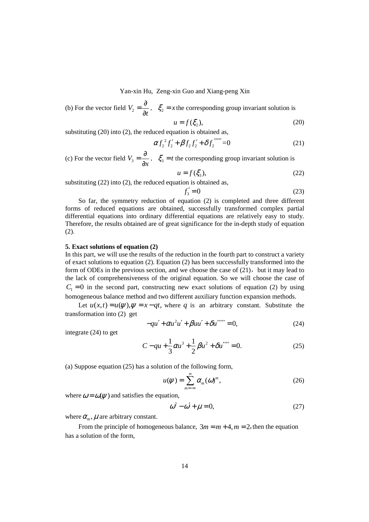(b) For the vector field 
$$
V_2 = \frac{\partial}{\partial t}
$$
,  $\xi_2 = x$  the corresponding group invariant solution is

$$
u = f(\xi_2),\tag{20}
$$

substituting (20) into (2), the reduced equation is obtained as,

$$
\alpha f_2^2 f_2' + \beta f_2 f_2' + \delta f_2'''' = 0 \tag{21}
$$

(c) For the vector field  $V_3 = \frac{\delta}{\delta x}$  $=\frac{5}{2}$  $\frac{\partial}{\partial x}$ ,  $\xi_3 = t$  the corresponding group invariant solution is

$$
u = f(\xi_3),\tag{22}
$$

substituting (22) into (2), the reduced equation is obtained as,

$$
f_3' = 0 \tag{23}
$$

So far, the symmetry reduction of equation (2) is completed and three different forms of reduced equations are obtained, successfully transformed complex partial differential equations into ordinary differential equations are relatively easy to study. Therefore, the results obtained are of great significance for the in-depth study of equation (2).

#### **5. Exact solutions of equation (2)**

In this part, we will use the results of the reduction in the fourth part to construct a variety of exact solutions to equation (2). Equation (2) has been successfully transformed into the form of ODEs in the previous section, and we choose the case of  $(21)$ , but it may lead to the lack of comprehensiveness of the original equation. So we will choose the case of  $C_1 = 0$  in the second part, constructing new exact solutions of equation (2) by using homogeneous balance method and two different auxiliary function expansion methods.

Let  $u(x,t) = u(\psi)$ ,  $\psi = x - qt$ , where q is an arbitrary constant. Substitute the transformation into (2) get

$$
-qu' + \alpha u^2 u' + \beta u u' + \delta u'''' = 0,
$$
 (24)

integrate (24) to get

$$
C - qu + \frac{1}{3}\alpha u^3 + \frac{1}{2}\beta u^2 + \delta u'''' = 0.
$$
 (25)

(a) Suppose equation (25) has a solution of the following form,

$$
u(\psi) = \sum_{m=-\infty}^{\infty} \alpha_m(\omega)^m,
$$
 (26)

where  $\omega = \omega(\psi)$  and satisfies the equation,

$$
\omega^2 - \omega' + \mu = 0,\tag{27}
$$

where  $\alpha_m$ ,  $\mu$  are arbitrary constant.

From the principle of homogeneous balance,  $3m = m + 4$ ,  $m = 2$ , then the equation has a solution of the form,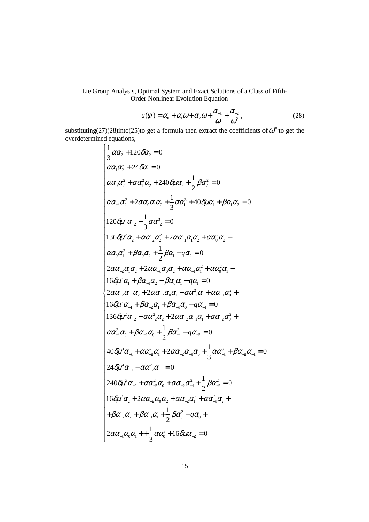$$
u(\psi) = \alpha_0 + \alpha_1 \omega + \alpha_2 \omega + \frac{\alpha_{-1}}{\omega} + \frac{\alpha_{-2}}{\omega^2},
$$
 (28)

substituting(27)(28)into(25)to get a formula then extract the coefficients of  $\omega^m$  to get the overdetermined equations,

$$
\begin{cases}\n\frac{1}{3}\alpha\alpha_2^3 + 120\delta\alpha_2 = 0\\ \n\alpha\alpha_1\alpha_2^2 + 24\delta\alpha_1 = 0\\ \n\alpha\alpha_0\alpha_2^2 + \alpha\alpha_1^2\alpha_2 + 240\delta\mu\alpha_2 + \frac{1}{2}\beta\alpha_2^2 = 0\\ \n\alpha\alpha_{-1}\alpha_2^2 + 2\alpha\alpha_0\alpha_1\alpha_2 + \frac{1}{3}\alpha\alpha_1^3 + 40\delta\mu\alpha_1 + \beta\alpha_1\alpha_2 = 0\\ \n120\delta\mu^4\alpha_{-2} + \frac{1}{3}\alpha\alpha_{-2}^3 = 0\\ \n136\delta\mu^2\alpha_2 + \alpha\alpha_{-2}\alpha_2^2 + 2\alpha\alpha_{-1}\alpha_1\alpha_2 + \alpha\alpha_0^2\alpha_2 +\\ \n\alpha\alpha_0\alpha_1^2 + \beta\alpha_0\alpha_2 + \frac{1}{2}\beta\alpha_1 - q\alpha_2 = 0\\ \n2\alpha\alpha_{-2}\alpha_1\alpha_2 + 2\alpha\alpha_{-1}\alpha_0\alpha_2 + \alpha\alpha_{-1}\alpha_1^2 + \alpha\alpha_0^2\alpha_1 +\\ \n16\delta\mu^2\alpha_1 + \beta\alpha_{-1}\alpha_2 + \beta\alpha_0\alpha_1 - q\alpha_1 = 0\\ \n2\alpha\alpha_{-2}\alpha_{-1}\alpha_2 + 2\alpha\alpha_{-2}\alpha_0\alpha_1 + \alpha\alpha_{-1}^2\alpha_1 + \alpha\alpha_{-1}\alpha_0^2 +\\ \n16\delta\mu^2\alpha_{-1} + \beta\alpha_{-2}\alpha_1 + \beta\alpha_{-1}\alpha_0 - q\alpha_{-1} = 0\\ \n136\delta\mu^2\alpha_{-2} + \alpha\alpha_{-2}^2\alpha_2 + 2\alpha\alpha_{-2}\alpha_{-1}\alpha_1 + \alpha\alpha_{-2}\alpha_0^2 +\\ \n\alpha\alpha_{-1}^2\alpha_0 + \beta\alpha_{-2}\alpha_1 + 2\alpha\alpha_{-2}\alpha_{-1}\alpha_1 + \alpha\alpha_{-2}\alpha_0^2 +\\ \n\alpha\alpha_{-1}^2\alpha_0 + \alpha\alpha_{-2}^2\alpha_1 + 2\alpha\alpha_{-2}\alpha_{-1}\alpha_0 + \frac{
$$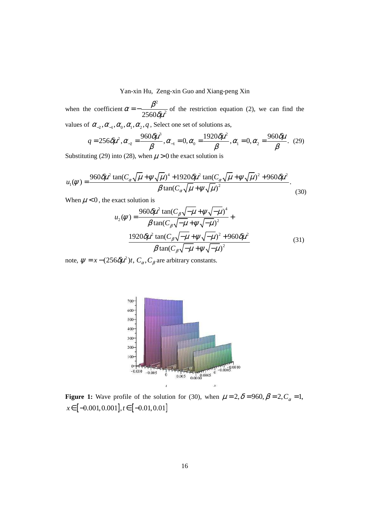when the coefficient 2  $2560$ δμ $^2$  $\alpha = -\frac{\beta^2}{2560 \delta \mu^2}$  $=-\frac{P}{25.68 \times 200}$  of the restriction equation (2), we can find the values of  $\alpha_{-2}, \alpha_{-1}, \alpha_0, \alpha_1, \alpha_2, q$ , Select one set of solutions as,

$$
q = 256 \delta \mu^2, \alpha_{-2} = \frac{960 \delta \mu^3}{\beta}, \alpha_{-1} = 0, \alpha_0 = \frac{1920 \delta \mu^2}{\beta}, \alpha_1 = 0, \alpha_2 = \frac{960 \delta \mu}{\beta}. (29)
$$

Substituting (29) into (28), when  $\mu > 0$  the exact solution is

$$
u_1(\psi) = \frac{960\delta\mu^2 \tan(C_\alpha\sqrt{\mu} + \psi\sqrt{\mu})^4 + 1920\delta\mu^2 \tan(C_\alpha\sqrt{\mu} + \psi\sqrt{\mu})^2 + 960\delta\mu^2}{\beta \tan(C_\alpha\sqrt{\mu} + \psi\sqrt{\mu})^2}.
$$
 (30)

When  $\mu$  < 0, the exact solution is

$$
u_2(\psi) = \frac{960 \delta \mu^2 \tan(C_\beta \sqrt{-\mu + \psi} \sqrt{-\mu})^4}{\beta \tan(C_\beta \sqrt{-\mu + \psi} \sqrt{-\mu})^2} +
$$
  

$$
\frac{1920 \delta \mu^2 \tan(C_\beta \sqrt{-\mu + \psi} \sqrt{-\mu})^2 + 960 \delta \mu^2}{\beta \tan(C_\beta \sqrt{-\mu + \psi} \sqrt{-\mu})^2}
$$
(31)

note,  $\psi = x - (256 \delta \mu^2)t$ ,  $C_\alpha$ ,  $C_\beta$  are arbitrary constants.



**Figure 1:** Wave profile of the solution for (30), when  $\mu = 2$ ,  $\delta = 960$ ,  $\beta = 2$ ,  $C_{\alpha} = 1$ ,  $x \in [-0.001, 0.001], t \in [-0.01, 0.01]$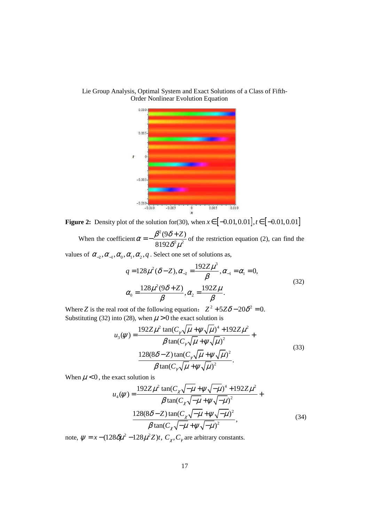

Lie Group Analysis, Optimal System and Exact Solutions of a Class of Fifth-Order Nonlinear Evolution Equation

**Figure 2:** Density plot of the solution for(30), when  $x \in [-0.01, 0.01], t \in [-0.01, 0.01]$ 2

When the coefficient  $^{2}$ . 2  $(9\delta + Z)$ 8192  $\alpha = -\frac{\beta^2 (9\delta + Z)}{8192 \delta^2 \mu^2}$  $=-\frac{\beta^2(9\delta+Z)}{2(9\delta+Z)}$  of the restriction equation (2), can find the

values of  $\alpha_{-2}, \alpha_{-1}, \alpha_0, \alpha_1, \alpha_2, q$ . Select one set of solutions as,

$$
q = 128\mu^{2} (\delta - Z), \alpha_{-2} = \frac{192Z\mu^{3}}{\beta}, \alpha_{-1} = \alpha_{1} = 0,
$$
  

$$
\alpha_{0} = \frac{128\mu^{2} (9\delta + Z)}{\beta}, \alpha_{2} = \frac{192Z\mu}{\beta}.
$$
 (32)

Where *Z* is the real root of the following equation:  $Z^2 + 5Z\delta - 20\delta^2 = 0$ . Substituting (32) into (28), when  $\mu > 0$  the exact solution is

$$
u_{3}(\psi) = \frac{192Z\mu^{2} \tan(C_{\gamma}\sqrt{\mu} + \psi\sqrt{\mu})^{4} + 192Z\mu^{2}}{\beta \tan(C_{\gamma}\sqrt{\mu} + \psi\sqrt{\mu})^{2}} + \frac{128(8\delta - Z) \tan(C_{\gamma}\sqrt{\mu} + \psi\sqrt{\mu})^{2}}{\beta \tan(C_{\gamma}\sqrt{\mu} + \psi\sqrt{\mu})^{2}}.
$$
\n(33)

When  $\mu$  < 0, the exact solution is

$$
u_4(\psi) = \frac{192Z\mu^2 \tan(C_\chi \sqrt{-\mu} + \psi \sqrt{-\mu})^4 + 192Z\mu^2}{\beta \tan(C_\chi \sqrt{-\mu} + \psi \sqrt{-\mu})^2} + \frac{128(8\delta - Z) \tan(C_\chi \sqrt{-\mu} + \psi \sqrt{-\mu})^2}{\beta \tan(C_\chi \sqrt{-\mu} + \psi \sqrt{-\mu})^2},
$$
(34)

note,  $\psi = x - (128 \delta \mu^2 - 128 \mu^2 Z)t$ ,  $C_{\chi}$ ,  $C_{\gamma}$  are arbitrary constants.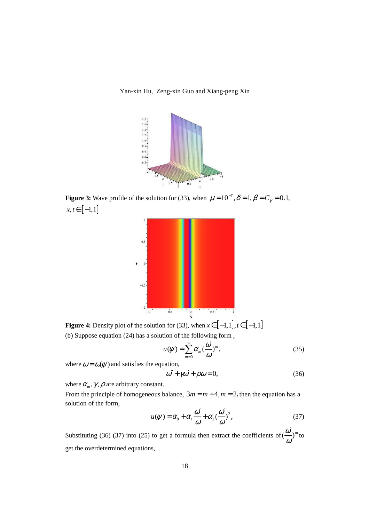Yan-xin Hu, Zeng-xin Guo and Xiang-peng Xin



**Figure 3:** Wave profile of the solution for (33), when  $\mu = 10^{-7}$ ,  $\delta = 1$ ,  $\beta = C_{\gamma} = 0.1$ ,  $x, t \in [-1,1]$ 



**Figure 4:** Density plot of the solution for (33), when  $x \in [-1,1], t \in [-1,1]$ (b) Suppose equation (24) has a solution of the following form ,

$$
u(\psi) = \sum_{m=0}^{\infty} \alpha_m \left(\frac{\omega'}{\omega}\right)^m, \tag{35}
$$

where  $\omega = \omega(\psi)$  and satisfies the equation,

$$
\omega'' + \gamma \omega' + \rho \omega = 0,\tag{36}
$$

where  $\alpha_m$ ,  $\gamma$ ,  $\rho$  are arbitrary constant.

From the principle of homogeneous balance,  $3m = m + 4$ ,  $m = 2$ , then the equation has a solution of the form,

$$
u(\psi) = \alpha_0 + \alpha_1 \frac{\omega'}{\omega} + \alpha_2 \frac{\omega'}{\omega}^2, \tag{37}
$$

Substituting (36) (37) into (25) to get a formula then extract the coefficients of  $\left(\frac{\omega}{\omega}\right)^m$  $\int$ <sup>'</sup>n<sup>to</sup> get the overdetermined equations,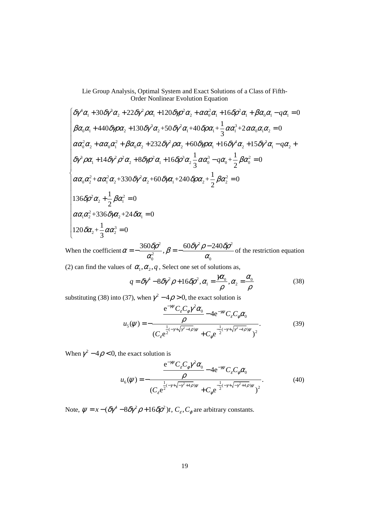$$
\begin{cases}\n\delta\gamma^4\alpha_1 + 30\delta\gamma^3\alpha_2 + 22\delta\gamma^2\rho\alpha_1 + 120\delta\gamma\rho^2\alpha_2 + \alpha\alpha_0^2\alpha_1 + 16\delta\rho^2\alpha_1 + \beta\alpha_0\alpha_1 - q\alpha_1 = 0 \\
\beta\alpha_0\alpha_1 + 440\delta\gamma\rho\alpha_2 + 130\delta\gamma^3\alpha_2 + 50\delta\gamma^2\alpha_1 + 40\delta\rho\alpha_1 + \frac{1}{3}\alpha\alpha_1^3 + 2\alpha\alpha_0\alpha_1\alpha_2 = 0 \\
\alpha\alpha_0^2\alpha_2 + \alpha\alpha_0\alpha_1^2 + \beta\alpha_0\alpha_2 + 232\delta\gamma^2\rho\alpha_2 + 60\delta\gamma\rho\alpha_1 + 16\delta\gamma^4\alpha_2 + 15\delta\gamma^3\alpha_1 - q\alpha_2 + \\
\delta\gamma^3\rho\alpha_1 + 14\delta\gamma^2\rho^2\alpha_2 + 8\delta\gamma\rho^2\alpha_1 + 16\delta\rho^3\alpha_2 - \frac{1}{3}\alpha\alpha_0^3 - q\alpha_0 + \frac{1}{2}\beta\alpha_0^2 = 0 \\
\alpha\alpha_0\alpha_2^2 + \alpha\alpha_1^2\alpha_2 + 330\delta\gamma^2\alpha_2 + 60\delta\gamma\alpha_1 + 240\delta\rho\alpha_2 + \frac{1}{2}\beta\alpha_2^2 = 0 \\
136\delta\rho^2\alpha_2 + \frac{1}{2}\beta\alpha_1^2 = 0 \\
\alpha\alpha_1\alpha_2^2 + 336\delta\gamma\alpha_2 + 24\delta\alpha_1 = 0 \\
120\delta\alpha_2 + \frac{1}{3}\alpha\alpha_2^3 = 0\n\end{cases}
$$

When the coefficient 2  $60.8x^2 - 240.8x^2$ 2 0  $\alpha_0$  $\alpha = -\frac{360 \delta \rho^2}{r^2}, \beta = -\frac{60 \delta \gamma^2 \rho - 240 \delta \rho}{r^2}$  $\alpha_0^2$  and  $\alpha_0$  $=-\frac{360\delta\rho^2}{r^2}$ ,  $\beta=-\frac{60\delta\gamma^2\rho-240\delta\rho^2}{r^2}$  of the restriction equation (2) can find the values of  $\alpha_1, \alpha_2, q$ , Select one set of solutions as,

$$
q = \delta \gamma^4 - 8 \delta \gamma^2 \rho + 16 \delta \rho^2, \alpha_1 = \frac{\gamma \alpha_0}{\rho}, \alpha_2 = \frac{\alpha_0}{\rho}
$$
 (38)

substituting (38) into (37), when  $\gamma^2 - 4\rho > 0$ , the exact solution is

$$
u_{5}(\psi) = -\frac{e^{-\gamma\psi}C_{\varepsilon}C_{\phi}\gamma^{2}\alpha_{0}}{\rho} - 4e^{-\gamma\psi}C_{\varepsilon}C_{\phi}\alpha_{0}}
$$
  

$$
(C_{\varepsilon}e^{\frac{1}{2}(-\gamma+\sqrt{\gamma^{2}-4\rho})\psi} + C_{\phi}e^{\frac{1}{2}(-\gamma+\sqrt{\gamma^{2}-4\rho})\psi})^{2}}.
$$
(39)

When  $\gamma^2 - 4\rho < 0$ , the exact solution is

$$
u_{6}(\psi) = -\frac{\frac{e^{-\gamma\psi}C_{\varepsilon}C_{\phi}\gamma^{2}\alpha_{0}}{\rho} - 4e^{-\gamma\psi}C_{\varepsilon}C_{\phi}\alpha_{0}}{(C_{\varepsilon}e^{\frac{1}{2}(-\gamma+\sqrt{-\gamma^{2}+4\rho})\psi} + C_{\phi}e^{\frac{1}{2}(-\gamma+\sqrt{-\gamma^{2}+4\rho})\psi}})^{2}.
$$
 (40)

Note,  $\psi = x - (\delta \gamma^4 - 8 \delta \gamma^2 \rho + 16 \delta \rho^2)t$ ,  $C_{\varepsilon}$ ,  $C_{\varphi}$  are arbitrary constants.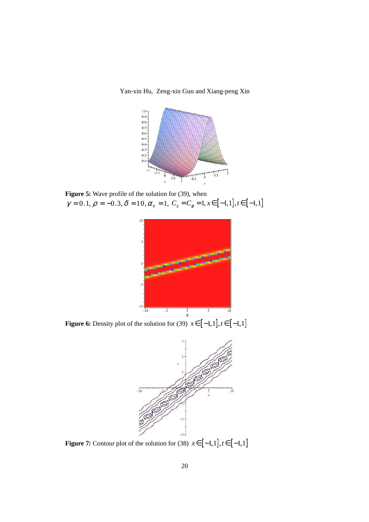Yan-xin Hu, Zeng-xin Guo and Xiang-peng Xin



**Figure 5:** Wave profile of the solution for (39), when  $\gamma = 0.1, \rho = -0.3, \delta = 10, \alpha_{0} = 1, C_{\epsilon} = C_{\varphi} = 1, x \in [-1,1], t \in [-1,1]$ 



**Figure 6:** Density plot of the solution for (39)  $x \in [-1,1], t \in [-1,1]$ 



**Figure 7:** Contour plot of the solution for (38)  $x \in [-1,1], t \in [-1,1]$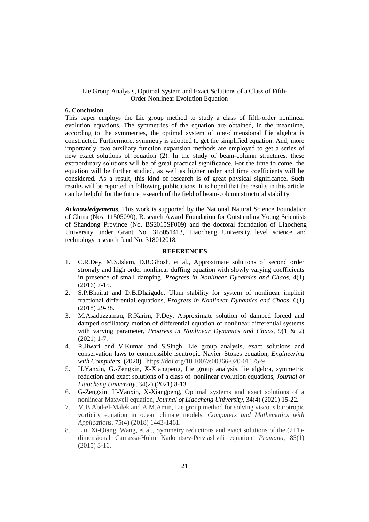#### **6. Conclusion**

This paper employs the Lie group method to study a class of fifth-order nonlinear evolution equations. The symmetries of the equation are obtained, in the meantime, according to the symmetries, the optimal system of one-dimensional Lie algebra is constructed. Furthermore, symmetry is adopted to get the simplified equation. And, more importantly, two auxiliary function expansion methods are employed to get a series of new exact solutions of equation (2). In the study of beam-column structures, these extraordinary solutions will be of great practical significance. For the time to come, the equation will be further studied, as well as higher order and time coefficients will be considered. As a result, this kind of research is of great physical significance. Such results will be reported in following publications. It is hoped that the results in this article can be helpful for the future research of the field of beam-column structural stability.

*Acknowledgements.* This work is supported by the National Natural Science Foundation of China (Nos. 11505090), Research Award Foundation for Outstanding Young Scientists of Shandong Province (No. BS2015SF009) and the doctoral foundation of Liaocheng University under Grant No. 318051413, Liaocheng University level science and technology research fund No. 318012018.

### **REFERENCES**

- 1. C.R.Dey, M.S.Islam, D.R.Ghosh, et al., Approximate solutions of second order strongly and high order nonlinear duffing equation with slowly varying coefficients in presence of small damping, *Progress in Nonlinear Dynamics and Chaos*, 4(1) (2016) 7-15.
- 2. S.P.Bhairat and D.B.Dhaigude, Ulam stability for system of nonlinear implicit fractional differential equations, *Progress in Nonlinear Dynamics and Chaos*, 6(1) (2018) 29-38.
- 3. M.Asaduzzaman, R.Karim, P.Dey, Approximate solution of damped forced and damped oscillatory motion of differential equation of nonlinear differential systems with varying parameter, *Progress in Nonlinear Dynamics and Chaos*, 9(1 & 2) (2021) 1-7.
- 4. R.Jiwari and V.Kumar and S.Singh, Lie group analysis, exact solutions and conservation laws to compressible isentropic Navier–Stokes equation, *Engineering with Computers*, (2020). https://doi.org/10.1007/s00366-020-01175-9
- 5. H.Yanxin, G.-Zengxin, X-Xiangpeng, Lie group analysis, lie algebra, symmetric reduction and exact solutions of a class of nonlinear evolution equations, *Journal of Liaocheng University,* 34(2) (2021) 8-13.
- 6. G-Zengxin, H-Yanxin, X-Xiangpeng, Optimal systems and exact solutions of a nonlinear Maxwell equation, *Journal of Liaocheng University*, 34(4) (2021) 15-22.
- 7. M.B.Abd-el-Malek and A.M.Amin, Lie group method for solving viscous barotropic vorticity equation in ocean climate models, *Computers and Mathematics with Applications*, 75(4) (2018) 1443-1461.
- 8. Liu, Xi-Qiang, Wang, et al., Symmetry reductions and exact solutions of the (2+1) dimensional Camassa-Holm Kadomtsev-Petviashvili equation, *Pramana*, 85(1)  $(2015)$  3-16.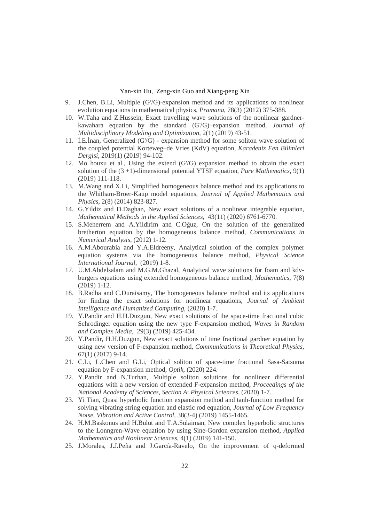- 9. J.Chen, B.Li, Multiple (G′/G)-expansion method and its applications to nonlinear evolution equations in mathematical physics, *Pramana*, 78(3) (2012) 375-388.
- 10. W.Taha and Z.Hussein, Exact travelling wave solutions of the nonlinear gardnerkawahara equation by the standard (G'/G)–expansion method, *Journal of Multidisciplinary Modeling and Optimization*, 2(1) (2019) 43-51.
- 11. İ.E.İnan, Generalized (G'/G) expansion method for some soliton wave solution of the coupled potential Korteweg–de Vries (KdV) equation, *Karadeniz Fen Bilimleri Dergisi*, 2019(1) (2019) 94-102.
- 12. Mo houxu et al., Using the extend (G'/G) expansion method to obtain the exact solution of the (3 +1)-dimensional potential YTSF equation, *Pure Mathematics*, 9(1) (2019) 111-118.
- 13. M.Wang and X.Li, Simplified homogeneous balance method and its applications to the Whitham-Broer-Kaup model equations, *Journal of Applied Mathematics and Physics*, 2(8) (2014) 823-827.
- 14. G.Yildiz and D.Daghan, New exact solutions of a nonlinear integrable equation, *Mathematical Methods in the Applied Sciences*, 43(11) (2020) 6761-6770.
- 15. S.Meherrem and A.Yildirim and C.Oğuz, On the solution of the generalized bretherton equation by the homogeneous balance method, *Communications in Numerical Analysis*, (2012) 1-12.
- 16. A.M.Abourabia and Y.A.Eldreeny, Analytical solution of the complex polymer equation systems via the homogeneous balance method, *Physical Science International Journal*, (2019) 1-8.
- 17. U.M.Abdelsalam and M.G.M.Ghazal, Analytical wave solutions for foam and kdvburgers equations using extended homogeneous balance method, *Mathematics*, 7(8) (2019) 1-12.
- 18. B.Radha and C.Duraisamy, The homogeneous balance method and its applications for finding the exact solutions for nonlinear equations, *Journal of Ambient Intelligence and Humanized Computing*, (2020) 1-7.
- 19. Y.Pandir and H.H.Duzgun, New exact solutions of the space-time fractional cubic Schrodinger equation using the new type F-expansion method, *Waves in Random and Complex Media*, 29(3) (2019) 425-434.
- 20. Y.Pandir, H.H.Duzgun, New exact solutions of time fractional gardner equation by using new version of F-expansion method, *Communications in Theoretical Physics*, 67(1) (2017) 9-14.
- 21. C.Li, L.Chen and G.Li, Optical soliton of space-time fractional Sasa-Satsuma equation by F-expansion method, *Optik*, (2020) 224.
- 22. Y.Pandir and N.Turhan, Multiple soliton solutions for nonlinear differential equations with a new version of extended F-expansion method, *Proceedings of the National Academy of Sciences, Section A*: *Physical Sciences*, (2020) 1-7.
- 23. Yi Tian, Quasi hyperbolic function expansion method and tanh-function method for solving vibrating string equation and elastic rod equation, *Journal of Low Frequency Noise, Vibration and Active Control*, 38(3-4) (2019) 1455-1465.
- 24. H.M.Baskonus and H.Bulut and T.A.Sulaiman, New complex hyperbolic structures to the Lonngren-Wave equation by using Sine-Gordon expansion method, *Applied Mathematics and Nonlinear Sciences*, 4(1) (2019) 141-150.
- 25. J.Morales, J.J.Peña and J.García-Ravelo, On the improvement of q-deformed